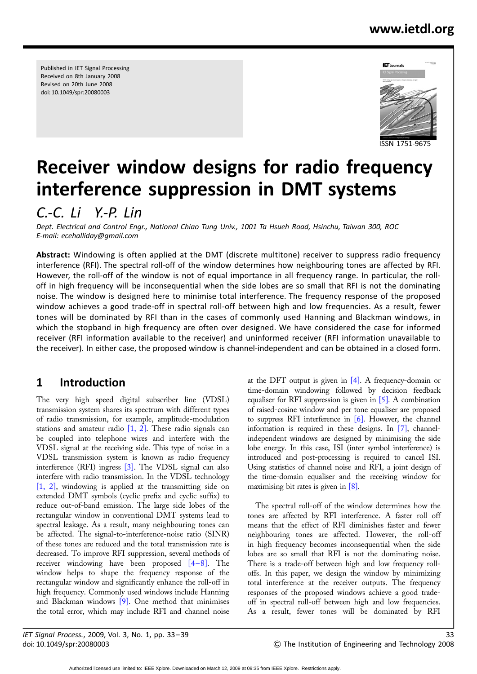## www.ietdl.org

Published in IET Signal Processing Received on 8th January 2008 Revised on 20th June 2008 doi: 10.1049/spr:20080003



# Receiver window designs for radio frequency interference suppression in DMT systems

C.-C. Li Y.-P. Lin

Dept. Electrical and Control Engr., National Chiao Tung Univ., 1001 Ta Hsueh Road, Hsinchu, Taiwan 300, ROC E-mail: ecehalliday@gmail.com

Abstract: Windowing is often applied at the DMT (discrete multitone) receiver to suppress radio frequency interference (RFI). The spectral roll-off of the window determines how neighbouring tones are affected by RFI. However, the roll-off of the window is not of equal importance in all frequency range. In particular, the rolloff in high frequency will be inconsequential when the side lobes are so small that RFI is not the dominating noise. The window is designed here to minimise total interference. The frequency response of the proposed window achieves a good trade-off in spectral roll-off between high and low frequencies. As a result, fewer tones will be dominated by RFI than in the cases of commonly used Hanning and Blackman windows, in which the stopband in high frequency are often over designed. We have considered the case for informed receiver (RFI information available to the receiver) and uninformed receiver (RFI information unavailable to the receiver). In either case, the proposed window is channel-independent and can be obtained in a closed form.

### 1 Introduction

The very high speed digital subscriber line (VDSL) transmission system shares its spectrum with different types of radio transmission, for example, amplitude-modulation stations and amateur radio  $[1, 2]$ . These radio signals can be coupled into telephone wires and interfere with the VDSL signal at the receiving side. This type of noise in a VDSL transmission system is known as radio frequency interference (RFI) ingress [3]. The VDSL signal can also interfere with radio transmission. In the VDSL technology [1, 2], windowing is applied at the transmitting side on extended DMT symbols (cyclic prefix and cyclic suffix) to reduce out-of-band emission. The large side lobes of the rectangular window in conventional DMT systems lead to spectral leakage. As a result, many neighbouring tones can be affected. The signal-to-interference-noise ratio (SINR) of these tones are reduced and the total transmission rate is decreased. To improve RFI suppression, several methods of receiver windowing have been proposed  $[4-8]$ . The window helps to shape the frequency response of the rectangular window and significantly enhance the roll-off in high frequency. Commonly used windows include Hanning and Blackman windows  $[9]$ . One method that minimises the total error, which may include RFI and channel noise

at the DFT output is given in  $[4]$ . A frequency-domain or time-domain windowing followed by decision feedback equaliser for RFI suppression is given in [5]. A combination of raised-cosine window and per tone equaliser are proposed to suppress RFI interference in  $[6]$ . However, the channel information is required in these designs. In [7], channelindependent windows are designed by minimising the side lobe energy. In this case, ISI (inter symbol interference) is introduced and post-processing is required to cancel ISI. Using statistics of channel noise and RFI, a joint design of the time-domain equaliser and the receiving window for maximising bit rates is given in [8].

The spectral roll-off of the window determines how the tones are affected by RFI interference. A faster roll off means that the effect of RFI diminishes faster and fewer neighbouring tones are affected. However, the roll-off in high frequency becomes inconsequential when the side lobes are so small that RFI is not the dominating noise. There is a trade-off between high and low frequency rolloffs. In this paper, we design the window by minimizing total interference at the receiver outputs. The frequency responses of the proposed windows achieve a good tradeoff in spectral roll-off between high and low frequencies. As a result, fewer tones will be dominated by RFI

Authorized licensed use limited to: IEEE Xplore. Downloaded on March 12, 2009 at 09:35 from IEEE Xplore. Restrictions apply.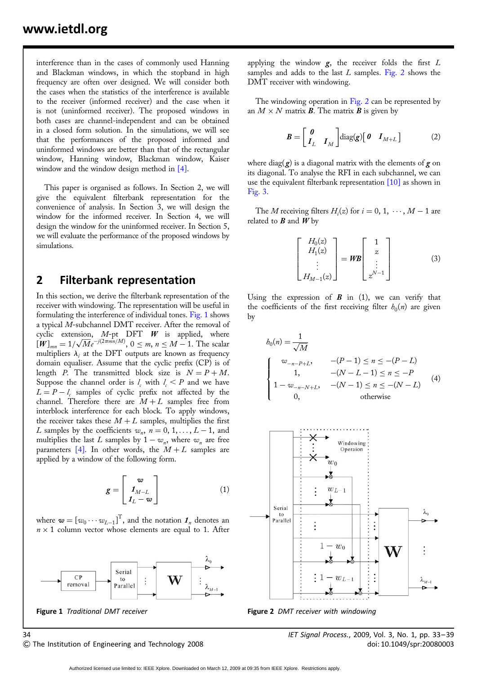interference than in the cases of commonly used Hanning and Blackman windows, in which the stopband in high frequency are often over designed. We will consider both the cases when the statistics of the interference is available to the receiver (informed receiver) and the case when it is not (uninformed receiver). The proposed windows in both cases are channel-independent and can be obtained in a closed form solution. In the simulations, we will see that the performances of the proposed informed and uninformed windows are better than that of the rectangular window, Hanning window, Blackman window, Kaiser window and the window design method in [4].

This paper is organised as follows. In Section 2, we will give the equivalent filterbank representation for the convenience of analysis. In Section 3, we will design the window for the informed receiver. In Section 4, we will design the window for the uninformed receiver. In Section 5, we will evaluate the performance of the proposed windows by simulations.

#### 2 Filterbank representation

In this section, we derive the filterbank representation of the receiver with windowing. The representation will be useful in formulating the interference of individual tones. Fig. 1 shows a typical M-subchannel DMT receiver. After the removal of cyclic extension, M-pt DFT W is applied, where  $[W]_{mn} = 1/\sqrt{M}e^{-j(2\pi mn/M)}$ ,  $0 \le m, n \le M - 1$ . The scalar multipliers  $\lambda_i$  at the DFT outputs are known as frequency domain equaliser. Assume that the cyclic prefix (CP) is of length P. The transmitted block size is  $N = P + M$ . Suppose the channel order is  $l_c$  with  $l_c < P$  and we have  $L = P - l_c$  samples of cyclic prefix not affected by the channel. Therefore there are  $M + L$  samples free from interblock interference for each block. To apply windows, the receiver takes these  $M + L$  samples, multiplies the first L samples by the coefficients  $w_n$ ,  $n = 0, 1, \ldots, L - 1$ , and multiplies the last L samples by  $1 - w_n$ , where  $w_n$  are free parameters [4]. In other words, the  $M + L$  samples are applied by a window of the following form.

$$
g = \begin{bmatrix} w \\ I_{M-L} \\ I_L - w \end{bmatrix}
$$
 (1)

where  $\mathbf{w} = [w_0 \cdots w_{L-1}]^T$ , and the notation  $\mathbf{1}_n$  denotes an  $n \times 1$  column vector whose elements are equal to 1. After



applying the window  $g$ , the receiver folds the first  $L$ samples and adds to the last  $L$  samples. Fig. 2 shows the DMT receiver with windowing.

The windowing operation in Fig. 2 can be represented by an  $M \times N$  matrix **B**. The matrix **B** is given by

$$
\boldsymbol{B} = \begin{bmatrix} \boldsymbol{0} \\ \boldsymbol{I}_L & \boldsymbol{I}_M \end{bmatrix} \text{diag}(\boldsymbol{g}) \begin{bmatrix} \boldsymbol{0} & \boldsymbol{I}_{M+L} \end{bmatrix} \tag{2}
$$

where diag( $g$ ) is a diagonal matrix with the elements of  $g$  on its diagonal. To analyse the RFI in each subchannel, we can use the equivalent filterbank representation [10] as shown in Fig. 3.

The *M* receiving filters  $H_i(z)$  for  $i = 0, 1, \dots, M - 1$  are related to  $B$  and  $W$  by

$$
\begin{bmatrix} H_0(z) \\ H_1(z) \\ \vdots \\ H_{M-1}(z) \end{bmatrix} = \mathbf{W}\mathbf{B} \begin{bmatrix} 1 \\ z \\ \vdots \\ z^{N-1} \end{bmatrix}
$$
 (3)

Using the expression of  $\bf{B}$  in (1), we can verify that the coefficients of the first receiving filter  $h_0(n)$  are given by

$$
b_0(n) = \frac{1}{\sqrt{M}}
$$
  
\n
$$
\begin{cases}\nw_{-n-P+L}, & -(P-1) \le n \le -(P-L) \\
1, & -(N-L-1) \le n \le -P \\
1 - w_{-n-N+L}, & -(N-1) \le n \le -(N-L) \\
0, & \text{otherwise}\n\end{cases}
$$
(4)



Figure 1 Traditional DMT receiver Figure 2 DMT receiver with windowing

& The Institution of Engineering and Technology 2008 doi: 10.1049/spr:20080003

34 IET Signal Process., 2009, Vol. 3, No. 1, pp. 33– 39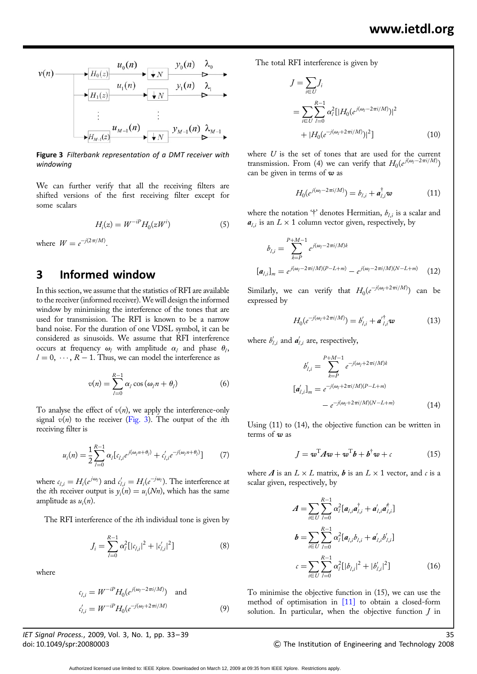$$
v(n) \longrightarrow H_0(z) \longrightarrow u_0(n) \longrightarrow v_0(n) \longrightarrow v_0(n) \longrightarrow v_0(n) \longrightarrow v_0(n) \longrightarrow v_0(n) \longrightarrow v_0(n) \longrightarrow v_0(n) \longrightarrow v_0(n) \longrightarrow v_0(n) \longrightarrow v_0(n) \longrightarrow v_0(n) \longrightarrow v_0(n) \longrightarrow v_0(n) \longrightarrow v_0(n) \longrightarrow v_0(n) \longrightarrow v_0(n) \longrightarrow v_0(n) \longrightarrow v_0(n) \longrightarrow v_0(n) \longrightarrow v_0(n) \longrightarrow v_0(n) \longrightarrow v_0(n) \longrightarrow v_0(n) \longrightarrow v_0(n) \longrightarrow v_0(n) \longrightarrow v_0(n) \longrightarrow v_0(n) \longrightarrow v_0(n) \longrightarrow v_0(n) \longrightarrow v_0(n) \longrightarrow v_0(n) \longrightarrow v_0(n) \longrightarrow v_0(n) \longrightarrow v_0(n) \longrightarrow v_0(n) \longrightarrow v_0(n) \longrightarrow v_0(n) \longrightarrow v_0(n) \longrightarrow v_0(n) \longrightarrow v_0(n) \longrightarrow v_0(n) \longrightarrow v_0(n) \longrightarrow v_0(n) \longrightarrow v_0(n) \longrightarrow v_0(n) \longrightarrow v_0(n) \longrightarrow v_0(n) \longrightarrow v_0(n) \longrightarrow v_0(n) \longrightarrow v_0(n) \longrightarrow v_0(n) \longrightarrow v_0(n) \longrightarrow v_0(n) \longrightarrow v_0(n) \longrightarrow v_0(n) \longrightarrow v_0(n) \longrightarrow v_0(n) \longrightarrow v_0(n) \longrightarrow v_0(n) \longrightarrow v_0(n) \longrightarrow v_0(n) \longrightarrow v_0(n) \longrightarrow v_0(n) \longrightarrow v_0(n) \longrightarrow v_0(n) \longrightarrow v_0(n) \longrightarrow v_0(n) \longrightarrow v_0(n) \longrightarrow v_0(n) \longrightarrow v_0(n) \longrightarrow v_0(n) \longrightarrow v_0(n) \longrightarrow v_0(n) \longrightarrow v_0(n) \longrightarrow v_0(n) \longrightarrow v_0(n) \longrightarrow v_0(n) \longrightarrow v_0(n) \longrightarrow v_0(n) \longrightarrow v_0(n) \longrightarrow v_0(n) \longrightarrow v_0(n) \longrightarrow v_0(n) \longrightarrow v_0(n) \longrightarrow v_0(n) \longrightarrow v_0(n) \longrightarrow v_0(n) \longrightarrow v_0(n) \longrightarrow v_0(n) \longrightarrow v_0(n) \longrightarrow v_0(n) \longrightarrow v_0(n) \longrightarrow v_0(n) \longrightarrow v_0(n) \longrightarrow v_0(n) \longrightarrow v_0(n) \longrightarrow v_0(n) \longrightarrow v_0(n) \longrightarrow v_0(n) \longrightarrow v_0(n) \longrightarrow v_0(n) \longrightarrow v_0(n) \longrightarrow v_0(n) \longrightarrow v_0(n) \longrightarrow v_0(n) \longrightarrow v_0(n)
$$

Figure 3 Filterbank representation of a DMT receiver with windowing

We can further verify that all the receiving filters are shifted versions of the first receiving filter except for some scalars

$$
H_i(z) = W^{-i} H_0(zW^i) \tag{5}
$$

where  $W = e^{-j(2\pi/M)}$ .

#### 3 Informed window

In this section, we assume that the statistics of RFI are available to the receiver (informed receiver).We will design the informed window by minimising the interference of the tones that are used for transmission. The RFI is known to be a narrow band noise. For the duration of one VDSL symbol, it can be considered as sinusoids. We assume that RFI interference occurs at frequency  $\omega_i$  with amplitude  $\alpha_i$  and phase  $\theta_i$ ,  $l = 0, \dots, R - 1$ . Thus, we can model the interference as

$$
v(n) = \sum_{l=0}^{R-1} \alpha_l \cos(\omega_l n + \theta_l)
$$
 (6)

To analyse the effect of  $v(n)$ , we apply the interference-only signal  $v(n)$  to the receiver (Fig. 3). The output of the *i*th receiving filter is

$$
u_i(n) = \frac{1}{2} \sum_{l=0}^{R-1} \alpha_l [c_{l,i} e^{j(\omega_l n + \theta_l)} + c'_{l,i} e^{-j(\omega_l n + \theta_l)}]
$$
(7)

where  $c_{l,i} = H_i(e^{j\omega_l})$  and  $c'_{l,i} = H_i(e^{-j\omega_l})$ . The interference at the *i*th receiver output is  $y_i(n) = u_i(Nn)$ , which has the same amplitude as  $u_i(n)$ .

The RFI interference of the *i*th individual tone is given by

$$
J_i = \sum_{l=0}^{R-1} \alpha_l^2 [|c_{l,i}|^2 + |c'_{l,i}|^2]
$$
 (8)

where

$$
c_{l,i} = W^{-iP} H_0(e^{j(\omega_l - 2\pi i/M)}) \text{ and}
$$
  

$$
c'_{l,i} = W^{-iP} H_0(e^{-j(\omega_l + 2\pi i/M)})
$$
 (9)

IET Signal Process., 2009, Vol. 3, No. 1, pp. 33–39 35

The total RFI interference is given by

$$
J = \sum_{i \in U} J_i
$$
  
= 
$$
\sum_{i \in U} \sum_{l=0}^{R-1} \alpha_l^2 [|H_0(e^{j(\omega_l - 2\pi i/M)})|^2
$$
  
+ 
$$
|H_0(e^{-j(\omega_l + 2\pi i/M)})|^2]
$$
 (10)

where  $U$  is the set of tones that are used for the current transmission. From (4) we can verify that  $H_0(e^{j(\omega_l - 2\pi i/M)})$ can be given in terms of  $w$  as

$$
H_0(e^{j(\omega_l - 2\pi i/M)}) = b_{l,i} + a_{l,i}^{\dagger} \omega \tag{11}
$$

where the notation '†' denotes Hermitian,  $b_{l,i}$  is a scalar and  $a_{l,i}$  is an  $L \times 1$  column vector given, respectively, by

$$
b_{l,i} = \sum_{k=P}^{P+M-1} e^{j(\omega_l - 2\pi i/M)k}
$$

$$
[a_{l,i}]_m = e^{j(\omega_l - 2\pi i/M)(P-L+m)} - e^{j(\omega_l - 2\pi i/M)(N-L+m)} \tag{12}
$$

Similarly, we can verify that  $H_0(e^{-j(\omega_l+2\pi i/M)})$  can be expressed by

$$
H_0(e^{-j(\omega_l + 2\pi i/M)}) = b'_{l,i} + a'_{l,i}^{\dagger} w \tag{13}
$$

where  $b'_{l,i}$  and  $a'_{l,i}$  are, respectively,

$$
b'_{l,i} = \sum_{k=P}^{P+M-1} e^{-j(\omega_l + 2\pi i/M)k}
$$

$$
[a'_{l,i}]_m = e^{-j(\omega_l + 2\pi i/M)(P-L+m)}
$$

$$
- e^{-j(\omega_l + 2\pi i/M)(N-L+m)}
$$
(14)

Using (11) to (14), the objective function can be written in terms of  $w$  as

$$
J = \boldsymbol{w}^{\mathrm{T}} A \boldsymbol{w} + \boldsymbol{w}^{\mathrm{T}} \boldsymbol{b} + \boldsymbol{b}^{\dagger} \boldsymbol{w} + c \tag{15}
$$

where  $\boldsymbol{\Lambda}$  is an  $L \times L$  matrix,  $\boldsymbol{b}$  is an  $L \times 1$  vector, and  $c$  is a scalar given, respectively, by

$$
A = \sum_{i \in U} \sum_{l=0}^{R-1} \alpha_l^2 [a_{l,i} a_{l,i}^\dagger + a_{l,i}' a_{l,i}^\dagger]
$$
  
\n
$$
b = \sum_{i \in U} \sum_{l=0}^{R-1} \alpha_l^2 [a_{l,i} b_{l,i} + a_{l,i}' b_{l,i}']
$$
  
\n
$$
c = \sum_{i \in U} \sum_{l=0}^{R-1} \alpha_l^2 [|b_{l,i}|^2 + |b_{l,i}'|^2]
$$
(16)

To minimise the objective function in (15), we can use the method of optimisation in [11] to obtain a closed-form solution. In particular, when the objective function  $J$  in

#### doi: 10.1049/spr:20080003 & The Institution of Engineering and Technology 2008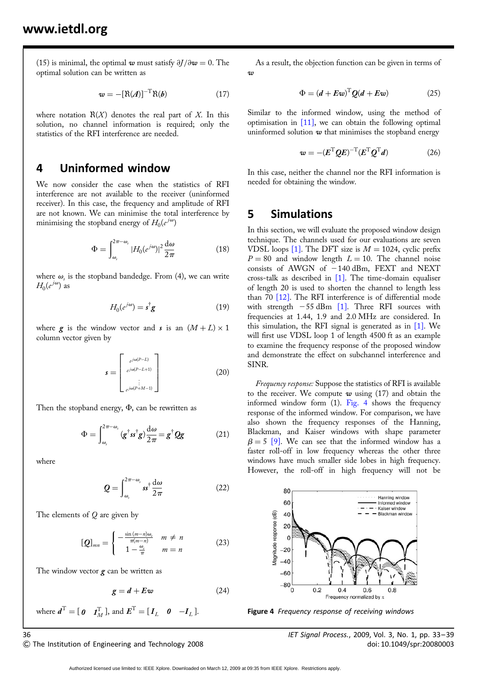(15) is minimal, the optimal w must satisfy  $\partial J/\partial w = 0$ . The optimal solution can be written as

$$
\mathbf{w} = -[\mathbf{R}(A)]^{-T} \mathbf{R}(b) \tag{17}
$$

where notation  $R(X)$  denotes the real part of X. In this solution, no channel information is required; only the statistics of the RFI interference are needed.

#### 4 Uninformed window

We now consider the case when the statistics of RFI interference are not available to the receiver (uninformed receiver). In this case, the frequency and amplitude of RFI are not known. We can minimise the total interference by minimising the stopband energy of  $H_0(e^{j\omega})$ 

$$
\Phi = \int_{\omega_s}^{2\pi - \omega_s} |H_0(e^{j\omega})|^2 \frac{d\omega}{2\pi}
$$
\n(18)

where  $\omega$ , is the stopband bandedge. From (4), we can write  $H_0(e^{j\omega})$  as

$$
H_0(e^{j\omega}) = \mathbf{s}^\dagger \mathbf{g} \tag{19}
$$

where  $g$  is the window vector and s is an  $(M + L) \times 1$ column vector given by

$$
\mathbf{s} = \begin{bmatrix} e^{j\omega(P-L)} \\ e^{j\omega(P-L+1)} \\ \vdots \\ e^{j\omega(P+M-1)} \end{bmatrix}
$$
(20)

Then the stopband energy,  $\Phi$ , can be rewritten as

$$
\Phi = \int_{\omega_s}^{2\pi - \omega_s} (g^{\dagger} s s^{\dagger} g) \frac{d\omega}{2\pi} = g^{\dagger} Q g \tag{21}
$$

where

$$
\mathbf{Q} = \int_{\omega_s}^{2\pi - \omega_s} s s^{\dagger} \frac{\mathrm{d}\omega}{2\pi} \tag{22}
$$

The elements of Q are given by

$$
[Q]_{mn} = \begin{cases} -\frac{\sin(m-n)\omega_i}{\pi(m-n)} & m \neq n \\ 1 - \frac{\omega_i}{\pi} & m = n \end{cases}
$$
 (23)

The window vector  $g$  can be written as

$$
g = d + E\omega \tag{24}
$$

where  $\boldsymbol{d}^{\mathrm{T}} = [\boldsymbol{0} \quad \boldsymbol{I}_{M}^{\mathrm{T}}]$ , and  $\boldsymbol{E}^{\mathrm{T}} = [\boldsymbol{I}_{L} \quad \boldsymbol{0} \quad -\boldsymbol{I}_{L} ]$ .

As a result, the objection function can be given in terms of  $\sigma$ 

$$
\Phi = (d + E\omega)^{\mathrm{T}} Q(d + E\omega) \tag{25}
$$

Similar to the informed window, using the method of optimisation in [11], we can obtain the following optimal uninformed solution  $w$  that minimises the stopband energy

$$
\mathbf{w} = -(\mathbf{E}^{\mathrm{T}} \mathbf{Q} \mathbf{E})^{-\mathrm{T}} (\mathbf{E}^{\mathrm{T}} \mathbf{Q}^{\mathrm{T}} \mathbf{d}) \tag{26}
$$

In this case, neither the channel nor the RFI information is needed for obtaining the window.

#### 5 Simulations

In this section, we will evaluate the proposed window design technique. The channels used for our evaluations are seven VDSL loops [1]. The DFT size is  $M = 1024$ , cyclic prefix  $P = 80$  and window length  $L = 10$ . The channel noise consists of AWGN of  $-140$  dBm, FEXT and NEXT cross-talk as described in [1]. The time-domain equaliser of length 20 is used to shorten the channel to length less than 70 [12]. The RFI interference is of differential mode with strength  $-55$  dBm [1]. Three RFI sources with frequencies at 1.44, 1.9 and 2.0 MHz are considered. In this simulation, the RFI signal is generated as in [1]. We will first use VDSL loop 1 of length 4500 ft as an example to examine the frequency response of the proposed window and demonstrate the effect on subchannel interference and SINR.

Frequency response: Suppose the statistics of RFI is available to the receiver. We compute  $w$  using (17) and obtain the informed window form (1). Fig. 4 shows the frequency response of the informed window. For comparison, we have also shown the frequency responses of the Hanning, Blackman, and Kaiser windows with shape parameter  $\beta = 5$  [9]. We can see that the informed window has a faster roll-off in low frequency whereas the other three windows have much smaller side lobes in high frequency. However, the roll-off in high frequency will not be



Figure 4 Frequency response of receiving windows

& The Institution of Engineering and Technology 2008 doi: 10.1049/spr:20080003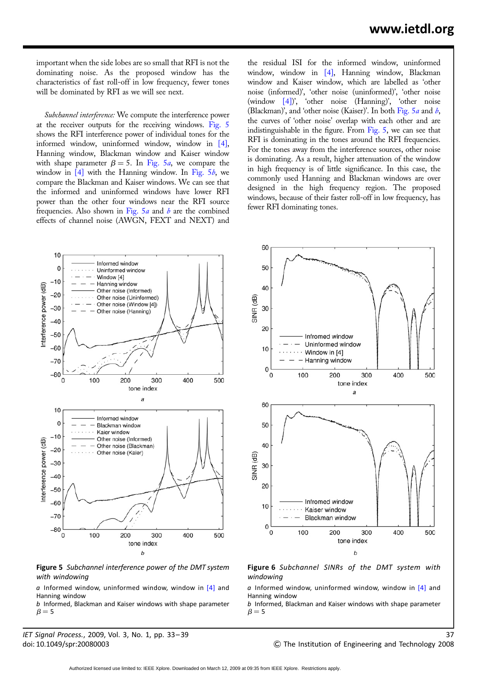important when the side lobes are so small that RFI is not the dominating noise. As the proposed window has the characteristics of fast roll-off in low frequency, fewer tones will be dominated by RFI as we will see next.

Subchannel interference: We compute the interference power at the receiver outputs for the receiving windows. Fig. 5 shows the RFI interference power of individual tones for the informed window, uninformed window, window in [4], Hanning window, Blackman window and Kaiser window with shape parameter  $\beta = 5$ . In Fig. 5*a*, we compare the window in  $[4]$  with the Hanning window. In Fig. 5*b*, we compare the Blackman and Kaiser windows. We can see that the informed and uninformed windows have lower RFI power than the other four windows near the RFI source frequencies. Also shown in Fig.  $5a$  and b are the combined effects of channel noise (AWGN, FEXT and NEXT) and

the residual ISI for the informed window, uninformed window, window in [4], Hanning window, Blackman window and Kaiser window, which are labelled as 'other noise (informed)', 'other noise (uninformed)', 'other noise (window [4])', 'other noise (Hanning)', 'other noise (Blackman)', and 'other noise (Kaiser)'. In both Fig.  $5a$  and b, the curves of 'other noise' overlap with each other and are indistinguishable in the figure. From Fig. 5, we can see that RFI is dominating in the tones around the RFI frequencies. For the tones away from the interference sources, other noise is dominating. As a result, higher attenuation of the window in high frequency is of little significance. In this case, the commonly used Hanning and Blackman windows are over designed in the high frequency region. The proposed windows, because of their faster roll-off in low frequency, has fewer RFI dominating tones.

60



Figure 5 Subchannel interference power of the DMT system with windowing

 $\alpha$  Informed window, uninformed window, window in [4] and Hanning window

b Informed, Blackman and Kaiser windows with shape parameter  $\beta = 5$ 

IET Signal Process., 2009, Vol. 3, No. 1, pp. 33–39 37



Figure 6 Subchannel SINRs of the DMT system with windowing

 $\alpha$  Informed window, uninformed window, window in [4] and Hanning window

b Informed, Blackman and Kaiser windows with shape parameter  $\beta = 5$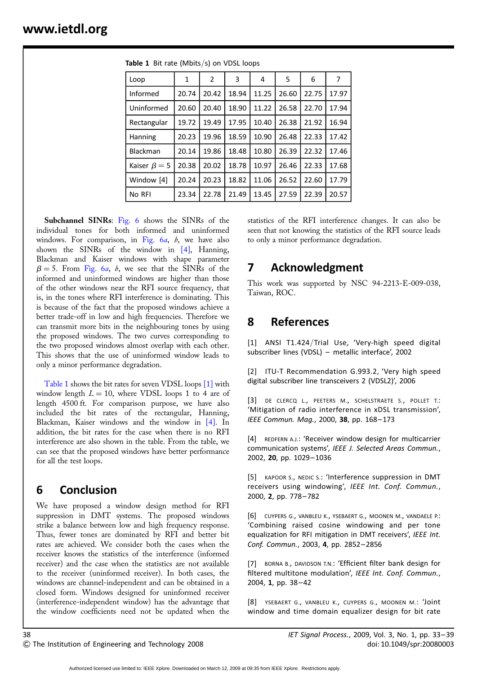| Loop               | 1     | 2     | 3     | 4     | 5     | 6     | 7     |
|--------------------|-------|-------|-------|-------|-------|-------|-------|
| Informed           | 20.74 | 20.42 | 18.94 | 11.25 | 26.60 | 22.75 | 17.97 |
| Uninformed         | 20.60 | 20.40 | 18.90 | 11.22 | 26.58 | 22.70 | 17.94 |
| Rectangular        | 19.72 | 19.49 | 17.95 | 10.40 | 26.38 | 21.92 | 16.94 |
| Hanning            | 20.23 | 19.96 | 18.59 | 10.90 | 26.48 | 22.33 | 17.42 |
| Blackman           | 20.14 | 19.86 | 18.48 | 10.80 | 26.39 | 22.32 | 17.46 |
| Kaiser $\beta = 5$ | 20.38 | 20.02 | 18.78 | 10.97 | 26.46 | 22.33 | 17.68 |
| Window [4]         | 20.24 | 20.23 | 18.82 | 11.06 | 26.52 | 22.60 | 17.79 |
| No RFI             | 23.34 | 22.78 | 21.49 | 13.45 | 27.59 | 22.39 | 20.57 |

Table 1 Bit rate (Mbits/s) on VDSL loops

Subchannel SINRs: Fig. 6 shows the SINRs of the individual tones for both informed and uninformed windows. For comparison, in Fig.  $6a$ ,  $b$ , we have also shown the SINRs of the window in [4], Hanning, Blackman and Kaiser windows with shape parameter  $\beta = 5$ . From Fig. 6a, b, we see that the SINRs of the informed and uninformed windows are higher than those of the other windows near the RFI source frequency, that is, in the tones where RFI interference is dominating. This is because of the fact that the proposed windows achieve a better trade-off in low and high frequencies. Therefore we can transmit more bits in the neighbouring tones by using the proposed windows. The two curves corresponding to the two proposed windows almost overlap with each other. This shows that the use of uninformed window leads to only a minor performance degradation.

Table 1 shows the bit rates for seven VDSL loops [1] with window length  $L = 10$ , where VDSL loops 1 to 4 are of length 4500 ft. For comparison purpose, we have also included the bit rates of the rectangular, Hanning, Blackman, Kaiser windows and the window in [4]. In addition, the bit rates for the case when there is no RFI interference are also shown in the table. From the table, we can see that the proposed windows have better performance for all the test loops.

## 6 Conclusion

We have proposed a window design method for RFI suppression in DMT systems. The proposed windows strike a balance between low and high frequency response. Thus, fewer tones are dominated by RFI and better bit rates are achieved. We consider both the cases when the receiver knows the statistics of the interference (informed receiver) and the case when the statistics are not available to the receiver (uninformed receiver). In both cases, the windows are channel-independent and can be obtained in a closed form. Windows designed for uninformed receiver (interference-independent window) has the advantage that the window coefficients need not be updated when the statistics of the RFI interference changes. It can also be seen that not knowing the statistics of the RFI source leads to only a minor performance degradation.

## 7 Acknowledgment

This work was supported by NSC 94-2213-E-009-038, Taiwan, ROC.

## 8 References

[1] ANSI T1.424/Trial Use, 'Very-high speed digital subscriber lines (VDSL) – metallic interface', 2002

[2] ITU-T Recommendation G.993.2, 'Very high speed digital subscriber line transceivers 2 (VDSL2)', 2006

[3] DE CLERCQ L., PEETERS M., SCHELSTRAETE S., POLLET T.: 'Mitigation of radio interference in xDSL transmission', IEEE Commun. Mag., 2000, 38, pp. 168-173

[4] REDFERN A.J.: 'Receiver window design for multicarrier communication systems', IEEE J. Selected Areas Commun., 2002, 20, pp. 1029– 1036

[5] KAPOOR S., NEDIC S.: 'Interference suppression in DMT receivers using windowing', IEEE Int. Conf. Commun., 2000, 2, pp. 778– 782

[6] CUYPERS G., VANBLEU K., YSEBAERT G., MOONEN M., VANDAELE P.: 'Combining raised cosine windowing and per tone equalization for RFI mitigation in DMT receivers', IEEE Int. Conf. Commun., 2003, 4, pp. 2852– 2856

[7] BORNA B., DAVIDSON T.N.: 'Efficient filter bank design for filtered multitone modulation', IEEE Int. Conf. Commun., 2004, 1, pp. 38-42

[8] YSEBAERT G., VANBLEU K., CUYPERS G., MOONEN M.: 'Joint window and time domain equalizer design for bit rate

Authorized licensed use limited to: IEEE Xplore. Downloaded on March 12, 2009 at 09:35 from IEEE Xplore. Restrictions apply.